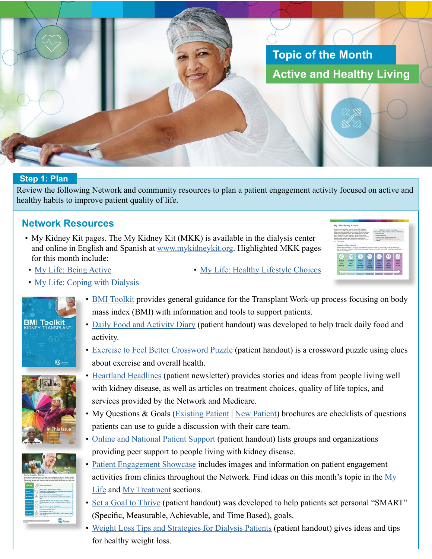

#### **Step 1: Plan**

Review the following Network and community resources to plan a patient engagement activity focused on active and healthy habits to improve patient quality of life.

## **Network Resources**

• My Kidney Kit pages. The My Kidney Kit (MKK) is available in the dialysis center and online in English and Spanish at [www.mykidneykit.org](http://www.mykidneykit.org). Highlighted MKK pages for this month include:



- **[My Life: Being Active](https://resourcehub.exchange/?goto=XxVfMhpiZ0owWzVBIFAcWVs0UihAQi9WViALUydaBhgqNDYLWVAabRJYGCV3VEZGHQJUEFwTb1M4Il0aNVhxAwZZH2RSKC5KMFsyCWdWSVdPYhh8WUMlVQt2W0t7BUlFc2hg)**
- [My Life: Coping with Dialysis](https://resourcehub.exchange/?goto=XxVfMhpiZ0owWzVBIFAcWVs0UihAQi9WViALUydaBhgqNDYLWVAabRJYGCV3VUwbFQ9HVF0fNARiNlAWPU0_X0ROFDVQKSVcORVuAmMKX0NLMA4oS0l6Al0mVklxUEBAJDlkX0cIW3hOCUd1bA8)









• [BMI Toolkit](https://resourcehub.exchange/download/bmi-toolkit/?wpdmdl=6730&refresh=5f24678be4b971596221323) provides general guidance for the Transplant Work-up process focusing on body mass index (BMI) with information and tools to support patients.

▪ [My Life: Healthy Lifestyle Choices](https://resourcehub.exchange/?goto=XxVfMhpiZ0owWzVBIFAcWVs0UihAQi9WViALUydaBhgqNDYLWVAabRJYGCV3XkYKEBVIAAcaKQoqIU0OPVFhVV8OQiFFPmcHIlg-WTZfRAQfbk5rSkQhRV00BkF2UEEQJ29mXBQLAXkbAEt3YgYbWE9VFw)

- [Daily Food and Activity Diary](https://resourcehub.exchange/download/daily-food-and-activity-diary/?wpdmdl=6599&refresh=5fca5f6bd42471607098219) (patient handout) was developed to help track daily food and activity.
- [Exercise to Feel Better Crossword Puzzle](https://resourcehub.exchange/download/exercise-to-feel-better-crossword/?wpdmdl=6219&refresh=5fca6101d99da1607098625) (patient handout) is a crossword puzzle using clues about exercise and overall health.
- [Heartland Headlines](https://resourcehub.exchange/download/2020-heartland-headlines-issue-2/?wpdmdl=7466&refresh=5fca6128e37d41607098664) (patient newsletter) provides stories and ideas from people living well with kidney disease, as well as articles on treatment choices, quality of life topics, and services provided by the Network and Medicare.
- My Questions & Goals [\(Existing Patient](https://resourcehub.exchange/download/my-questions-and-goals-existing-patient-2/?wpdmdl=5020&refresh=5fca920f405e11607111183) | [New Patient](https://resourcehub.exchange/download/my-questions-and-goals-new-patient/?wpdmdl=4812&refresh=5fca920cea4341607111180)) brochures are checklists of questions patients can use to guide a discussion with their care team.
- [Online and National Patient Support](https://resourcehub.exchange/download/online-and-national-peer-support/?wpdmdl=5919&refresh=5fca614b695881607098699) (patient handout) lists groups and organizations providing peer support to people living with kidney disease.
- [Patient Engagement Showcase](http://esrdnetwork12.org/providers/quality-improvement/patient-engagement/patient-engagement-showcase/) includes images and information on patient engagement activities from clinics throughout the Network. Find ideas on this month's topic in the  $\overline{My}$ [Life](http://mykidneykit.org/mylife.html) and [My Treatment](http://mykidneykit.org/mytreatment.html) sections.
- [Set a Goal to Thrive](https://resourcehub.exchange/download/set-a-goal-to-thrive/?wpdmdl=5353&refresh=5fca6188579601607098760) (patient handout) was developed to help patients set personal "SMART" (Specific, Measurable, Achievable, and Time Based), goals.
- [Weight Loss Tips and Strategies for Dialysis Patients](https://resourcehub.exchange/download/weight-loss-tips-and-strategies-for-dialysis-patients/?wpdmdl=6570&refresh=5fca72ec5749e1607103212) (patient handout) gives ideas and tips for healthy weight loss.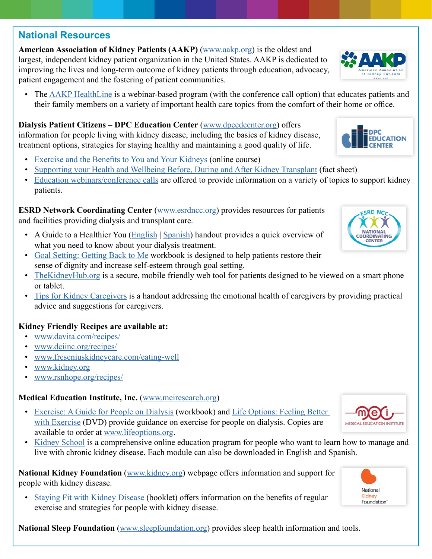# **National Resources**

**American Association of Kidney Patients (AAKP)** ([www.aakp.org](http://www.aakp.org)) is the oldest and largest, independent kidney patient organization in the United States. AAKP is dedicated to improving the lives and long-term outcome of kidney patients through education, advocacy, patient engagement and the fostering of patient communities.

• The [AAKP HealthLine](https://aakp.org/programs-and-events/aakp-healthline/) is a webinar-based program (with the conference call option) that educates patients and their family members on a variety of important health care topics from the comfort of their home or office.

**Dialysis Patient Citizens – DPC Education Center** ([www.dpcedcenter.org](http://www.dpcedcenter.org)) offers information for people living with kidney disease, including the basics of kidney disease, treatment options, strategies for staying healthy and maintaining a good quality of life.

- [Exercise and the Benefits to You and Your Kidneys](https://www.dpcedcenter.org/resources/online-courses/exercise-and-the-benefits-to-you-and-your-kidneys/) (online course)
- [Supporting your Health and Wellbeing Before, During and After Kidney Transplant](https://www.dpcedcenter.org/news-events/news/supporting-your-health-and-wellbeing-before-during-and-after-kidney-transplant/) (fact sheet)
- [Education webinars/conference calls](https://www.dpcedcenter.org/news-events/education-webinars/signup/) are offered to provide information on a variety of topics to support kidney patients.

**ESRD Network Coordinating Center** ([www.esrdncc.org\)](http://www.esrdncc.org) provides resources for patients and facilities providing dialysis and transplant care.

- A Guide to a Healthier You  $(English \mid Spanish)$  $(English \mid Spanish)$  $(English \mid Spanish)$  $(English \mid Spanish)$  $(English \mid Spanish)$  handout provides a quick overview of what you need to know about your dialysis treatment.
- [Goal Setting: Getting Back to Me](https://esrdncc.org/contentassets/bb5124ea381741cead5d3b75036c6d1e/goalsettingworkbookfinal508.pdf) workbook is designed to help patients restore their sense of dignity and increase self-esteem through goal setting.
- [TheKidneyHub.org](http://TheKidneyHub.org) is a secure, mobile friendly web tool for patients designed to be viewed on a smart phone or tablet.
- [Tips for Kidney Caregivers](https://esrdncc.org/contentassets/bb5124ea381741cead5d3b75036c6d1e/caregiverresourcedocument508.pdf) is a handout addressing the emotional health of caregivers by providing practical advice and suggestions for caregivers.

## **Kidney Friendly Recipes are available at:**

- [www.davita.com/recipes/](http://www.davita.com/recipes/)
- [www.dciinc.org/recipes/](http://www.dciinc.org/recipes/)
- [www.freseniuskidneycare.com/eating-well](http://www.freseniuskidneycare.com/eating-well)
- [www.kidney.org](http://www.kidney.org)
- [www.rsnhope.org/recipes/](http://www.rsnhope.org/recipes/)

# **Medical Education Institute, Inc.** [\(www.meiresearch.org](http://www.meiresearch.org))

- [Exercise: A Guide for People on Dialysis](https://lifeoptions.org/assets/pdfs/exercise_a_guide_for_people_on_dialysis.pdf) (workbook) and [Life Options: Feeling Better](https://store.mei.org/feeling-better-with-exercise-a-video-guide-for-people-on-dialysis-dvd/)  [with Exercise](https://store.mei.org/feeling-better-with-exercise-a-video-guide-for-people-on-dialysis-dvd/) (DVD) provide guidance on exercise for people on dialysis. Copies are available to order at [www.lifeoptions.org.](http://www.lifeoptions.org)
- [Kidney School](https://kidneyschool.org/mods/) is a comprehensive online education program for people who want to learn how to manage and live with chronic kidney disease. Each module can also be downloaded in English and Spanish.

**National Kidney Foundation** ([www.kidney.org](http://www.kidney.org)) webpage offers information and support for people with kidney disease.

• [Staying Fit with Kidney Disease](https://www.kidney.org/sites/default/files/11-10-0502_IBD_stayfit.pdf) (booklet) offers information on the benefits of regular exercise and strategies for people with kidney disease.

**National Sleep Foundation** ([www.sleepfoundation.org\)](http://www.sleepfoundation.org) provides sleep health information and tools.



**NATIONAL** COORDINATING

**DPC** 

**EDUCATION**